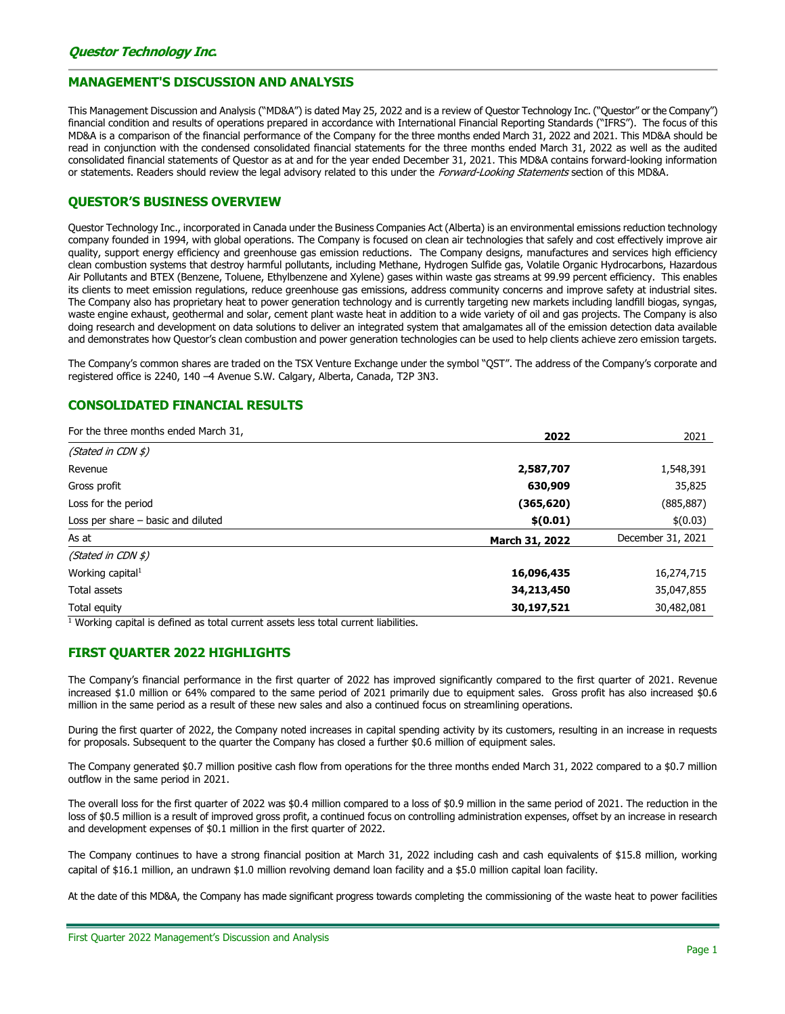## MANAGEMENT'S DISCUSSION AND ANALYSIS

This Management Discussion and Analysis ("MD&A") is dated May 25, 2022 and is a review of Questor Technology Inc. ("Questor" or the Company") financial condition and results of operations prepared in accordance with International Financial Reporting Standards ("IFRS"). The focus of this MD&A is a comparison of the financial performance of the Company for the three months ended March 31, 2022 and 2021. This MD&A should be read in conjunction with the condensed consolidated financial statements for the three months ended March 31, 2022 as well as the audited consolidated financial statements of Questor as at and for the year ended December 31, 2021. This MD&A contains forward-looking information or statements. Readers should review the legal advisory related to this under the *Forward-Looking Statements* section of this MD&A.

## QUESTOR'S BUSINESS OVERVIEW

Questor Technology Inc., incorporated in Canada under the Business Companies Act (Alberta) is an environmental emissions reduction technology company founded in 1994, with global operations. The Company is focused on clean air technologies that safely and cost effectively improve air quality, support energy efficiency and greenhouse gas emission reductions. The Company designs, manufactures and services high efficiency clean combustion systems that destroy harmful pollutants, including Methane, Hydrogen Sulfide gas, Volatile Organic Hydrocarbons, Hazardous Air Pollutants and BTEX (Benzene, Toluene, Ethylbenzene and Xylene) gases within waste gas streams at 99.99 percent efficiency. This enables its clients to meet emission regulations, reduce greenhouse gas emissions, address community concerns and improve safety at industrial sites. The Company also has proprietary heat to power generation technology and is currently targeting new markets including landfill biogas, syngas, waste engine exhaust, geothermal and solar, cement plant waste heat in addition to a wide variety of oil and gas projects. The Company is also doing research and development on data solutions to deliver an integrated system that amalgamates all of the emission detection data available and demonstrates how Questor's clean combustion and power generation technologies can be used to help clients achieve zero emission targets.

The Company's common shares are traded on the TSX Venture Exchange under the symbol "QST". The address of the Company's corporate and registered office is 2240, 140 –4 Avenue S.W. Calgary, Alberta, Canada, T2P 3N3.

# CONSOLIDATED FINANCIAL RESULTS

| For the three months ended March 31, | 2022           | 2021              |  |
|--------------------------------------|----------------|-------------------|--|
| (Stated in CDN $\sharp$ )            |                |                   |  |
| Revenue                              | 2,587,707      | 1,548,391         |  |
| Gross profit                         | 630,909        | 35,825            |  |
| Loss for the period                  | (365, 620)     | (885, 887)        |  |
| Loss per share - basic and diluted   | \$(0.01)       | \$(0.03)          |  |
| As at                                | March 31, 2022 | December 31, 2021 |  |
| (Stated in CDN \$)                   |                |                   |  |
| Working capital <sup>1</sup>         | 16,096,435     | 16,274,715        |  |
| Total assets                         | 34,213,450     | 35,047,855        |  |
| Total equity                         | 30,197,521     | 30,482,081        |  |

<sup>1</sup> Working capital is defined as total current assets less total current liabilities.

# FIRST QUARTER 2022 HIGHLIGHTS

The Company's financial performance in the first quarter of 2022 has improved significantly compared to the first quarter of 2021. Revenue increased \$1.0 million or 64% compared to the same period of 2021 primarily due to equipment sales. Gross profit has also increased \$0.6 million in the same period as a result of these new sales and also a continued focus on streamlining operations.

During the first quarter of 2022, the Company noted increases in capital spending activity by its customers, resulting in an increase in requests for proposals. Subsequent to the quarter the Company has closed a further \$0.6 million of equipment sales.

The Company generated \$0.7 million positive cash flow from operations for the three months ended March 31, 2022 compared to a \$0.7 million outflow in the same period in 2021.

The overall loss for the first quarter of 2022 was \$0.4 million compared to a loss of \$0.9 million in the same period of 2021. The reduction in the loss of \$0.5 million is a result of improved gross profit, a continued focus on controlling administration expenses, offset by an increase in research and development expenses of \$0.1 million in the first quarter of 2022.

The Company continues to have a strong financial position at March 31, 2022 including cash and cash equivalents of \$15.8 million, working capital of \$16.1 million, an undrawn \$1.0 million revolving demand loan facility and a \$5.0 million capital loan facility.

At the date of this MD&A, the Company has made significant progress towards completing the commissioning of the waste heat to power facilities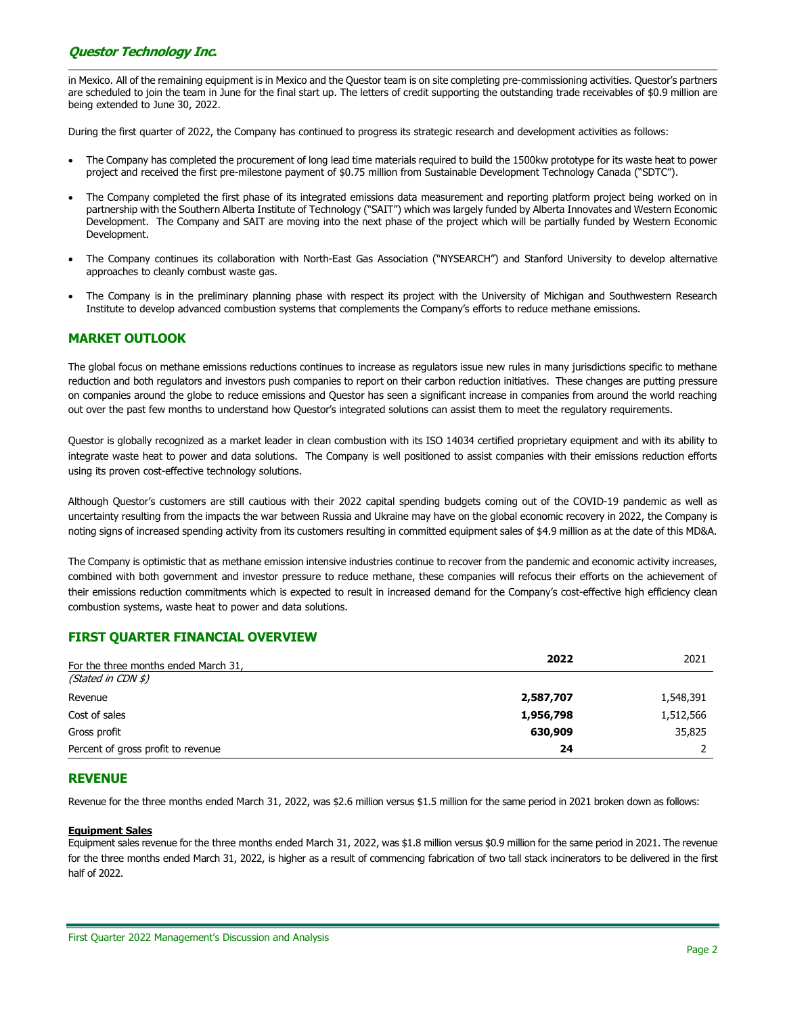# Questor Technology Inc.

in Mexico. All of the remaining equipment is in Mexico and the Questor team is on site completing pre-commissioning activities. Questor's partners are scheduled to join the team in June for the final start up. The letters of credit supporting the outstanding trade receivables of \$0.9 million are being extended to June 30, 2022.

During the first quarter of 2022, the Company has continued to progress its strategic research and development activities as follows:

- The Company has completed the procurement of long lead time materials required to build the 1500kw prototype for its waste heat to power project and received the first pre-milestone payment of \$0.75 million from Sustainable Development Technology Canada ("SDTC").
- The Company completed the first phase of its integrated emissions data measurement and reporting platform project being worked on in partnership with the Southern Alberta Institute of Technology ("SAIT") which was largely funded by Alberta Innovates and Western Economic Development. The Company and SAIT are moving into the next phase of the project which will be partially funded by Western Economic Development.
- The Company continues its collaboration with North-East Gas Association ("NYSEARCH") and Stanford University to develop alternative approaches to cleanly combust waste gas.
- The Company is in the preliminary planning phase with respect its project with the University of Michigan and Southwestern Research Institute to develop advanced combustion systems that complements the Company's efforts to reduce methane emissions.

# MARKET OUTLOOK

The global focus on methane emissions reductions continues to increase as regulators issue new rules in many jurisdictions specific to methane reduction and both regulators and investors push companies to report on their carbon reduction initiatives. These changes are putting pressure on companies around the globe to reduce emissions and Questor has seen a significant increase in companies from around the world reaching out over the past few months to understand how Questor's integrated solutions can assist them to meet the regulatory requirements.

Questor is globally recognized as a market leader in clean combustion with its ISO 14034 certified proprietary equipment and with its ability to integrate waste heat to power and data solutions. The Company is well positioned to assist companies with their emissions reduction efforts using its proven cost-effective technology solutions.

Although Questor's customers are still cautious with their 2022 capital spending budgets coming out of the COVID-19 pandemic as well as uncertainty resulting from the impacts the war between Russia and Ukraine may have on the global economic recovery in 2022, the Company is noting signs of increased spending activity from its customers resulting in committed equipment sales of \$4.9 million as at the date of this MD&A.

The Company is optimistic that as methane emission intensive industries continue to recover from the pandemic and economic activity increases, combined with both government and investor pressure to reduce methane, these companies will refocus their efforts on the achievement of their emissions reduction commitments which is expected to result in increased demand for the Company's cost-effective high efficiency clean combustion systems, waste heat to power and data solutions.

# FIRST QUARTER FINANCIAL OVERVIEW

| For the three months ended March 31, | 2022      | 2021      |
|--------------------------------------|-----------|-----------|
| (Stated in CDN $\sharp$ )            |           |           |
| Revenue                              | 2,587,707 | 1,548,391 |
| Cost of sales                        | 1,956,798 | 1,512,566 |
| Gross profit                         | 630,909   | 35,825    |
| Percent of gross profit to revenue   | 24        |           |

# REVENUE

Revenue for the three months ended March 31, 2022, was \$2.6 million versus \$1.5 million for the same period in 2021 broken down as follows:

#### Equipment Sales

Equipment sales revenue for the three months ended March 31, 2022, was \$1.8 million versus \$0.9 million for the same period in 2021. The revenue for the three months ended March 31, 2022, is higher as a result of commencing fabrication of two tall stack incinerators to be delivered in the first half of 2022.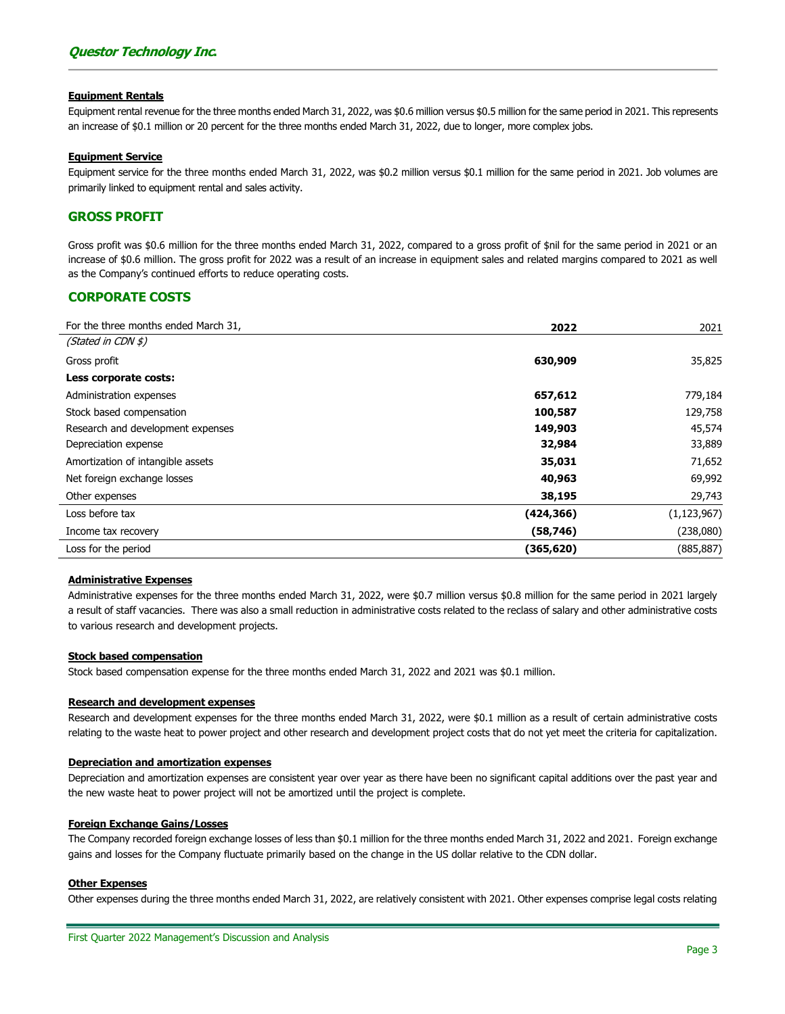#### Equipment Rentals

Equipment rental revenue for the three months ended March 31, 2022, was \$0.6 million versus \$0.5 million for the same period in 2021. This represents an increase of \$0.1 million or 20 percent for the three months ended March 31, 2022, due to longer, more complex jobs.

#### Equipment Service

Equipment service for the three months ended March 31, 2022, was \$0.2 million versus \$0.1 million for the same period in 2021. Job volumes are primarily linked to equipment rental and sales activity.

### GROSS PROFIT

Gross profit was \$0.6 million for the three months ended March 31, 2022, compared to a gross profit of \$nil for the same period in 2021 or an increase of \$0.6 million. The gross profit for 2022 was a result of an increase in equipment sales and related margins compared to 2021 as well as the Company's continued efforts to reduce operating costs.

## CORPORATE COSTS

| For the three months ended March 31, | 2022       | 2021          |
|--------------------------------------|------------|---------------|
| (Stated in CDN \$)                   |            |               |
| Gross profit                         | 630,909    | 35,825        |
| Less corporate costs:                |            |               |
| Administration expenses              | 657,612    | 779,184       |
| Stock based compensation             | 100,587    | 129,758       |
| Research and development expenses    | 149,903    | 45,574        |
| Depreciation expense                 | 32,984     | 33,889        |
| Amortization of intangible assets    | 35,031     | 71,652        |
| Net foreign exchange losses          | 40,963     | 69,992        |
| Other expenses                       | 38,195     | 29,743        |
| Loss before tax                      | (424, 366) | (1, 123, 967) |
| Income tax recovery                  | (58, 746)  | (238,080)     |
| Loss for the period                  | (365, 620) | (885,887)     |

#### Administrative Expenses

Administrative expenses for the three months ended March 31, 2022, were \$0.7 million versus \$0.8 million for the same period in 2021 largely a result of staff vacancies. There was also a small reduction in administrative costs related to the reclass of salary and other administrative costs to various research and development projects.

#### Stock based compensation

Stock based compensation expense for the three months ended March 31, 2022 and 2021 was \$0.1 million.

#### Research and development expenses

Research and development expenses for the three months ended March 31, 2022, were \$0.1 million as a result of certain administrative costs relating to the waste heat to power project and other research and development project costs that do not yet meet the criteria for capitalization.

#### Depreciation and amortization expenses

Depreciation and amortization expenses are consistent year over year as there have been no significant capital additions over the past year and the new waste heat to power project will not be amortized until the project is complete.

#### Foreign Exchange Gains/Losses

The Company recorded foreign exchange losses of less than \$0.1 million for the three months ended March 31, 2022 and 2021. Foreign exchange gains and losses for the Company fluctuate primarily based on the change in the US dollar relative to the CDN dollar.

#### Other Expenses

Other expenses during the three months ended March 31, 2022, are relatively consistent with 2021. Other expenses comprise legal costs relating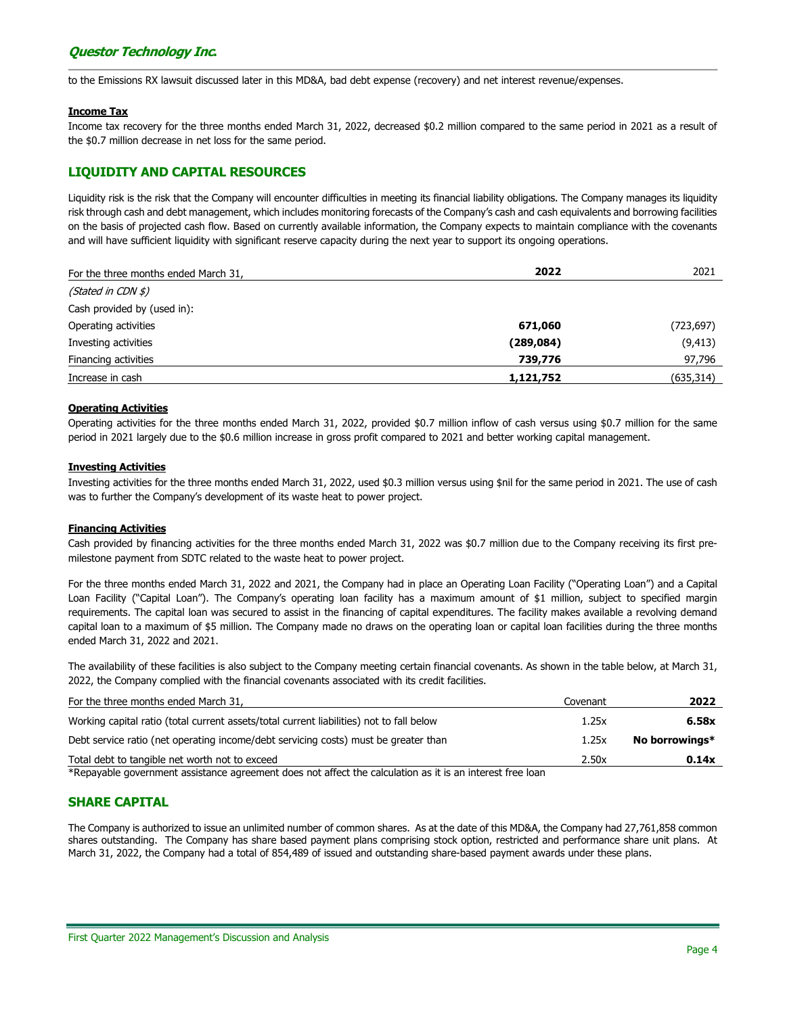to the Emissions RX lawsuit discussed later in this MD&A, bad debt expense (recovery) and net interest revenue/expenses.

#### Income Tax

Income tax recovery for the three months ended March 31, 2022, decreased \$0.2 million compared to the same period in 2021 as a result of the \$0.7 million decrease in net loss for the same period.

# LIQUIDITY AND CAPITAL RESOURCES

Liquidity risk is the risk that the Company will encounter difficulties in meeting its financial liability obligations. The Company manages its liquidity risk through cash and debt management, which includes monitoring forecasts of the Company's cash and cash equivalents and borrowing facilities on the basis of projected cash flow. Based on currently available information, the Company expects to maintain compliance with the covenants and will have sufficient liquidity with significant reserve capacity during the next year to support its ongoing operations.

| For the three months ended March 31, | 2022       | 2021       |  |
|--------------------------------------|------------|------------|--|
| (Stated in CDN $\sharp$ )            |            |            |  |
| Cash provided by (used in):          |            |            |  |
| Operating activities                 | 671,060    | (723, 697) |  |
| Investing activities                 | (289, 084) | (9, 413)   |  |
| Financing activities                 | 739,776    | 97,796     |  |
| Increase in cash                     | 1,121,752  | (635, 314) |  |

## Operating Activities

Operating activities for the three months ended March 31, 2022, provided \$0.7 million inflow of cash versus using \$0.7 million for the same period in 2021 largely due to the \$0.6 million increase in gross profit compared to 2021 and better working capital management.

## Investing Activities

Investing activities for the three months ended March 31, 2022, used \$0.3 million versus using \$nil for the same period in 2021. The use of cash was to further the Company's development of its waste heat to power project.

## Financing Activities

Cash provided by financing activities for the three months ended March 31, 2022 was \$0.7 million due to the Company receiving its first premilestone payment from SDTC related to the waste heat to power project.

For the three months ended March 31, 2022 and 2021, the Company had in place an Operating Loan Facility ("Operating Loan") and a Capital Loan Facility ("Capital Loan"). The Company's operating loan facility has a maximum amount of \$1 million, subject to specified margin requirements. The capital loan was secured to assist in the financing of capital expenditures. The facility makes available a revolving demand capital loan to a maximum of \$5 million. The Company made no draws on the operating loan or capital loan facilities during the three months ended March 31, 2022 and 2021.

The availability of these facilities is also subject to the Company meeting certain financial covenants. As shown in the table below, at March 31, 2022, the Company complied with the financial covenants associated with its credit facilities.

| For the three months ended March 31,                                                                     | Covenant | 2022           |
|----------------------------------------------------------------------------------------------------------|----------|----------------|
| Working capital ratio (total current assets/total current liabilities) not to fall below                 | 1.25x    | 6.58x          |
| Debt service ratio (net operating income/debt servicing costs) must be greater than                      | 1.25x    | No borrowings* |
| Total debt to tangible net worth not to exceed                                                           | 2.50x    | 0.14x          |
| $*Dapxablo$ covernant periodence percompations not offect the spleulation pe it is an interest free lean |          |                |

\*Repayable government assistance agreement does not affect the calculation as it is an interest free loan

# SHARE CAPITAL

The Company is authorized to issue an unlimited number of common shares. As at the date of this MD&A, the Company had 27,761,858 common shares outstanding. The Company has share based payment plans comprising stock option, restricted and performance share unit plans. At March 31, 2022, the Company had a total of 854,489 of issued and outstanding share-based payment awards under these plans.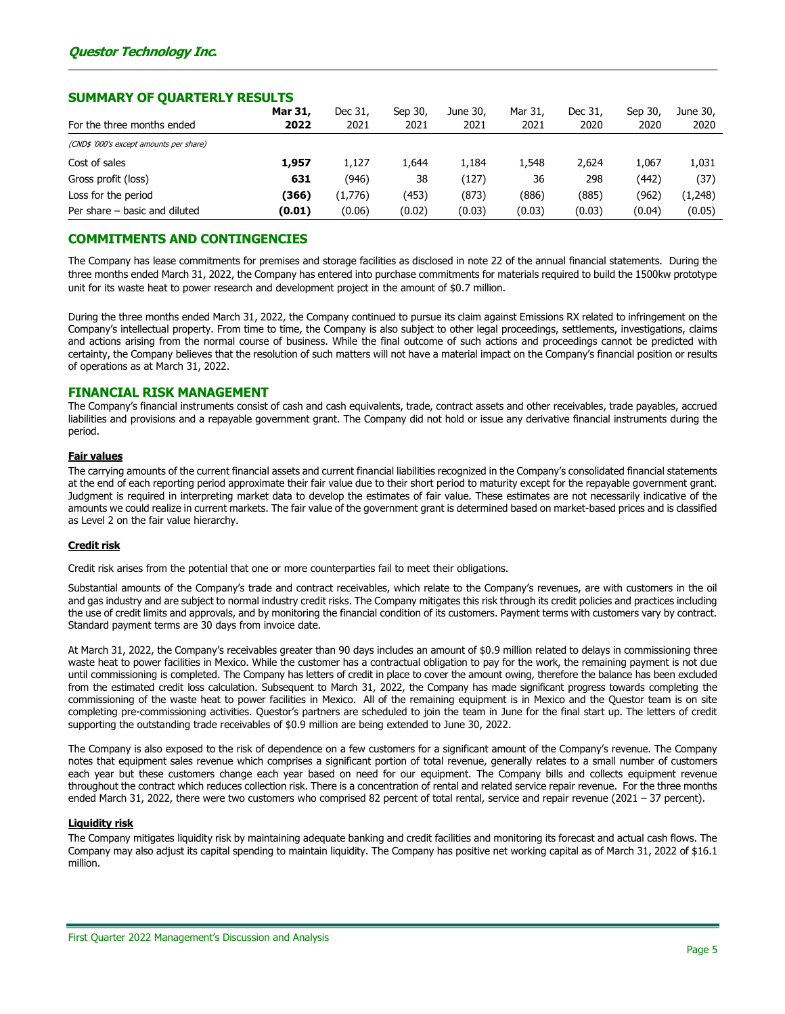## SUMMARY OF QUARTERLY RESULTS

|                                         | Mar 31, | Dec 31, | Sep 30, | June 30, | Mar 31, | Dec 31, | Sep 30, | June 30, |
|-----------------------------------------|---------|---------|---------|----------|---------|---------|---------|----------|
| For the three months ended              | 2022    | 2021    | 2021    | 2021     | 2021    | 2020    | 2020    | 2020     |
| (CND\$ '000's except amounts per share) |         |         |         |          |         |         |         |          |
| Cost of sales                           | 1.957   | 1.127   | 644,ء   | 1.184    | 1.548   | 2.624   | 1,067   | 1,031    |
| Gross profit (loss)                     | 631     | (946)   | 38      | (127)    | 36      | 298     | (442)   | (37)     |
| Loss for the period                     | (366)   | (1,776) | (453)   | (873)    | (886)   | (885)   | (962)   | (1,248)  |
| Per share – basic and diluted           | (0.01)  | (0.06)  | (0.02)  | (0.03)   | (0.03)  | (0.03)  | (0.04)  | (0.05)   |

# COMMITMENTS AND CONTINGENCIES

The Company has lease commitments for premises and storage facilities as disclosed in note 22 of the annual financial statements. During the three months ended March 31, 2022, the Company has entered into purchase commitments for materials required to build the 1500kw prototype unit for its waste heat to power research and development project in the amount of \$0.7 million.

During the three months ended March 31, 2022, the Company continued to pursue its claim against Emissions RX related to infringement on the Company's intellectual property. From time to time, the Company is also subject to other legal proceedings, settlements, investigations, claims and actions arising from the normal course of business. While the final outcome of such actions and proceedings cannot be predicted with certainty, the Company believes that the resolution of such matters will not have a material impact on the Company's financial position or results of operations as at March 31, 2022.

## FINANCIAL RISK MANAGEMENT

The Company's financial instruments consist of cash and cash equivalents, trade, contract assets and other receivables, trade payables, accrued liabilities and provisions and a repayable government grant. The Company did not hold or issue any derivative financial instruments during the period.

#### Fair values

The carrying amounts of the current financial assets and current financial liabilities recognized in the Company's consolidated financial statements at the end of each reporting period approximate their fair value due to their short period to maturity except for the repayable government grant. Judgment is required in interpreting market data to develop the estimates of fair value. These estimates are not necessarily indicative of the amounts we could realize in current markets. The fair value of the government grant is determined based on market-based prices and is classified as Level 2 on the fair value hierarchy.

#### Credit risk

Credit risk arises from the potential that one or more counterparties fail to meet their obligations.

Substantial amounts of the Company's trade and contract receivables, which relate to the Company's revenues, are with customers in the oil and gas industry and are subject to normal industry credit risks. The Company mitigates this risk through its credit policies and practices including the use of credit limits and approvals, and by monitoring the financial condition of its customers. Payment terms with customers vary by contract. Standard payment terms are 30 days from invoice date.

At March 31, 2022, the Company's receivables greater than 90 days includes an amount of \$0.9 million related to delays in commissioning three waste heat to power facilities in Mexico. While the customer has a contractual obligation to pay for the work, the remaining payment is not due until commissioning is completed. The Company has letters of credit in place to cover the amount owing, therefore the balance has been excluded from the estimated credit loss calculation. Subsequent to March 31, 2022, the Company has made significant progress towards completing the commissioning of the waste heat to power facilities in Mexico. All of the remaining equipment is in Mexico and the Questor team is on site completing pre-commissioning activities. Questor's partners are scheduled to join the team in June for the final start up. The letters of credit supporting the outstanding trade receivables of \$0.9 million are being extended to June 30, 2022.

The Company is also exposed to the risk of dependence on a few customers for a significant amount of the Company's revenue. The Company notes that equipment sales revenue which comprises a significant portion of total revenue, generally relates to a small number of customers each year but these customers change each year based on need for our equipment. The Company bills and collects equipment revenue throughout the contract which reduces collection risk. There is a concentration of rental and related service repair revenue. For the three months ended March 31, 2022, there were two customers who comprised 82 percent of total rental, service and repair revenue (2021 – 37 percent).

# Liquidity risk

The Company mitigates liquidity risk by maintaining adequate banking and credit facilities and monitoring its forecast and actual cash flows. The Company may also adjust its capital spending to maintain liquidity. The Company has positive net working capital as of March 31, 2022 of \$16.1 million.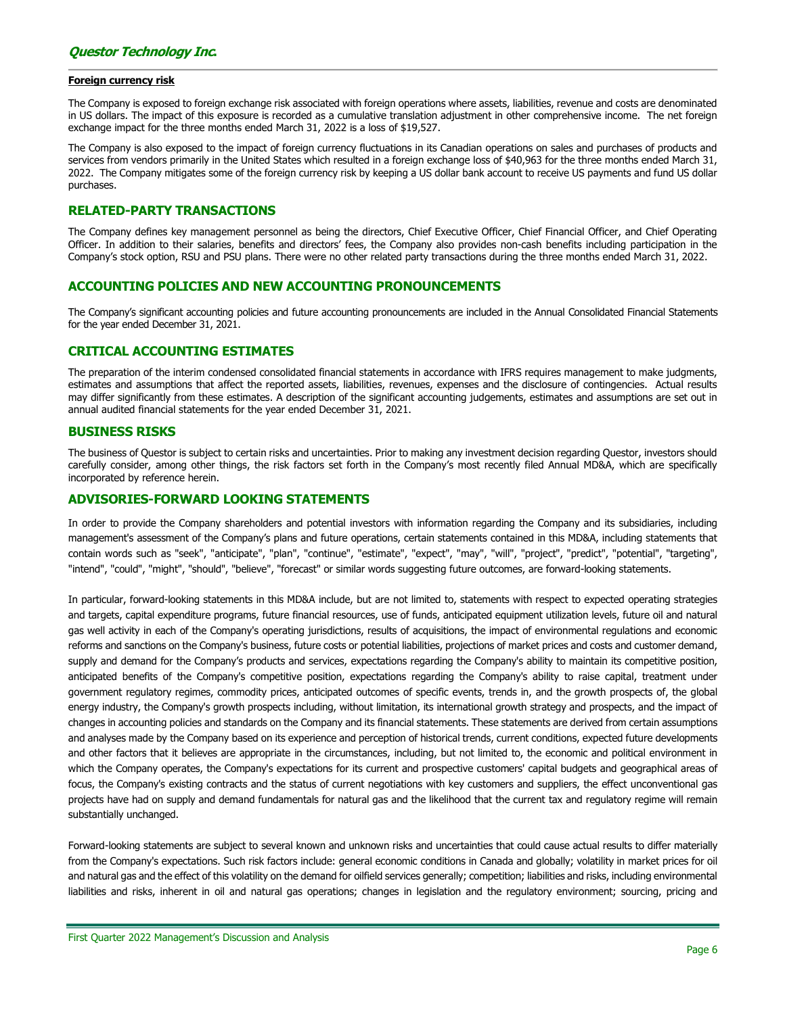#### Foreign currency risk

The Company is exposed to foreign exchange risk associated with foreign operations where assets, liabilities, revenue and costs are denominated in US dollars. The impact of this exposure is recorded as a cumulative translation adjustment in other comprehensive income. The net foreign exchange impact for the three months ended March 31, 2022 is a loss of \$19,527.

The Company is also exposed to the impact of foreign currency fluctuations in its Canadian operations on sales and purchases of products and services from vendors primarily in the United States which resulted in a foreign exchange loss of \$40,963 for the three months ended March 31, 2022. The Company mitigates some of the foreign currency risk by keeping a US dollar bank account to receive US payments and fund US dollar purchases.

## RELATED-PARTY TRANSACTIONS

The Company defines key management personnel as being the directors, Chief Executive Officer, Chief Financial Officer, and Chief Operating Officer. In addition to their salaries, benefits and directors' fees, the Company also provides non-cash benefits including participation in the Company's stock option, RSU and PSU plans. There were no other related party transactions during the three months ended March 31, 2022.

## ACCOUNTING POLICIES AND NEW ACCOUNTING PRONOUNCEMENTS

The Company's significant accounting policies and future accounting pronouncements are included in the Annual Consolidated Financial Statements for the year ended December 31, 2021.

# CRITICAL ACCOUNTING ESTIMATES

The preparation of the interim condensed consolidated financial statements in accordance with IFRS requires management to make judgments, estimates and assumptions that affect the reported assets, liabilities, revenues, expenses and the disclosure of contingencies. Actual results may differ significantly from these estimates. A description of the significant accounting judgements, estimates and assumptions are set out in annual audited financial statements for the year ended December 31, 2021.

#### BUSINESS RISKS

The business of Questor is subject to certain risks and uncertainties. Prior to making any investment decision regarding Questor, investors should carefully consider, among other things, the risk factors set forth in the Company's most recently filed Annual MD&A, which are specifically incorporated by reference herein.

## ADVISORIES-FORWARD LOOKING STATEMENTS

In order to provide the Company shareholders and potential investors with information regarding the Company and its subsidiaries, including management's assessment of the Company's plans and future operations, certain statements contained in this MD&A, including statements that contain words such as "seek", "anticipate", "plan", "continue", "estimate", "expect", "may", "will", "project", "predict", "potential", "targeting", "intend", "could", "might", "should", "believe", "forecast" or similar words suggesting future outcomes, are forward-looking statements.

In particular, forward-looking statements in this MD&A include, but are not limited to, statements with respect to expected operating strategies and targets, capital expenditure programs, future financial resources, use of funds, anticipated equipment utilization levels, future oil and natural gas well activity in each of the Company's operating jurisdictions, results of acquisitions, the impact of environmental regulations and economic reforms and sanctions on the Company's business, future costs or potential liabilities, projections of market prices and costs and customer demand, supply and demand for the Company's products and services, expectations regarding the Company's ability to maintain its competitive position, anticipated benefits of the Company's competitive position, expectations regarding the Company's ability to raise capital, treatment under government regulatory regimes, commodity prices, anticipated outcomes of specific events, trends in, and the growth prospects of, the global energy industry, the Company's growth prospects including, without limitation, its international growth strategy and prospects, and the impact of changes in accounting policies and standards on the Company and its financial statements. These statements are derived from certain assumptions and analyses made by the Company based on its experience and perception of historical trends, current conditions, expected future developments and other factors that it believes are appropriate in the circumstances, including, but not limited to, the economic and political environment in which the Company operates, the Company's expectations for its current and prospective customers' capital budgets and geographical areas of focus, the Company's existing contracts and the status of current negotiations with key customers and suppliers, the effect unconventional gas projects have had on supply and demand fundamentals for natural gas and the likelihood that the current tax and regulatory regime will remain substantially unchanged.

Forward-looking statements are subject to several known and unknown risks and uncertainties that could cause actual results to differ materially from the Company's expectations. Such risk factors include: general economic conditions in Canada and globally; volatility in market prices for oil and natural gas and the effect of this volatility on the demand for oilfield services generally; competition; liabilities and risks, including environmental liabilities and risks, inherent in oil and natural gas operations; changes in legislation and the regulatory environment; sourcing, pricing and